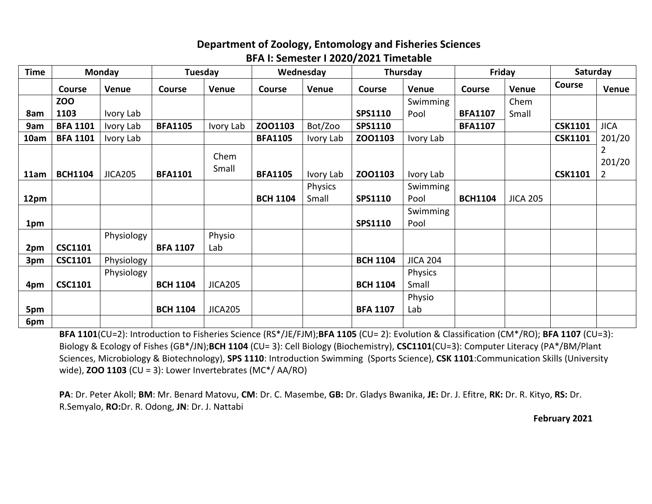## **Department of Zoology, Entomology and Fisheries Sciences BFA I: Semester I 2020/2021 Timetable**

| <b>Time</b> | <b>Monday</b>   |                | Tuesday         |                | Wednesday       |           | Thursday        |                  | Friday         |                 | Saturday       |                                          |
|-------------|-----------------|----------------|-----------------|----------------|-----------------|-----------|-----------------|------------------|----------------|-----------------|----------------|------------------------------------------|
|             | <b>Course</b>   | Venue          | <b>Course</b>   | Venue          | <b>Course</b>   | Venue     | Course          | Venue            | <b>Course</b>  | Venue           | <b>Course</b>  | Venue                                    |
|             | <b>ZOO</b>      |                |                 |                |                 |           |                 | Swimming         |                | Chem            |                |                                          |
| 8am         | 1103            | Ivory Lab      |                 |                |                 |           | <b>SPS1110</b>  | Pool             | <b>BFA1107</b> | Small           |                |                                          |
| 9am         | <b>BFA 1101</b> | Ivory Lab      | <b>BFA1105</b>  | Ivory Lab      | ZO01103         | Bot/Zoo   | SPS1110         |                  | <b>BFA1107</b> |                 | <b>CSK1101</b> | <b>JICA</b>                              |
| 10am        | <b>BFA 1101</b> | Ivory Lab      |                 |                | <b>BFA1105</b>  | Ivory Lab | ZO01103         | Ivory Lab        |                |                 | <b>CSK1101</b> | 201/20                                   |
| 11am        | <b>BCH1104</b>  | <b>JICA205</b> | <b>BFA1101</b>  | Chem<br>Small  | <b>BFA1105</b>  | Ivory Lab | ZO01103         | Ivory Lab        |                |                 | <b>CSK1101</b> | $\overline{2}$<br>201/20<br>$\mathbf{2}$ |
|             |                 |                |                 |                |                 | Physics   |                 | Swimming         |                |                 |                |                                          |
| 12pm        |                 |                |                 |                | <b>BCH 1104</b> | Small     | <b>SPS1110</b>  | Pool             | <b>BCH1104</b> | <b>JICA 205</b> |                |                                          |
| 1pm         |                 |                |                 |                |                 |           | <b>SPS1110</b>  | Swimming<br>Pool |                |                 |                |                                          |
|             |                 | Physiology     |                 | Physio         |                 |           |                 |                  |                |                 |                |                                          |
| 2pm         | <b>CSC1101</b>  |                | <b>BFA 1107</b> | Lab            |                 |           |                 |                  |                |                 |                |                                          |
| 3pm         | <b>CSC1101</b>  | Physiology     |                 |                |                 |           | <b>BCH 1104</b> | <b>JICA 204</b>  |                |                 |                |                                          |
|             |                 | Physiology     |                 |                |                 |           |                 | Physics          |                |                 |                |                                          |
| 4pm         | <b>CSC1101</b>  |                | <b>BCH 1104</b> | <b>JICA205</b> |                 |           | <b>BCH 1104</b> | Small            |                |                 |                |                                          |
|             |                 |                |                 |                |                 |           |                 | Physio           |                |                 |                |                                          |
| 5pm         |                 |                | <b>BCH 1104</b> | <b>JICA205</b> |                 |           | <b>BFA 1107</b> | Lab              |                |                 |                |                                          |
| 6pm         |                 |                |                 |                |                 |           |                 |                  |                |                 |                |                                          |

**BFA 1101**(CU=2): Introduction to Fisheries Science (RS\*/JE/FJM);**BFA 1105** (CU= 2): Evolution & Classification (CM\*/RO); **BFA 1107** (CU=3): Biology & Ecology of Fishes (GB\*/JN);**BCH 1104** (CU= 3): Cell Biology (Biochemistry), **CSC1101**(CU=3): Computer Literacy (PA\*/BM/Plant Sciences, Microbiology & Biotechnology), **SPS 1110**: Introduction Swimming (Sports Science), **CSK 1101**:Communication Skills (University wide), **ZOO 1103** (CU = 3): Lower Invertebrates (MC\*/ AA/RO)

**PA**: Dr. Peter Akoll; **BM**: Mr. Benard Matovu, **CM**: Dr. C. Masembe, **GB:** Dr. Gladys Bwanika, **JE:** Dr. J. Efitre, **RK:** Dr. R. Kityo, **RS:** Dr. R.Semyalo, **RO:**Dr. R. Odong, **JN**: Dr. J. Nattabi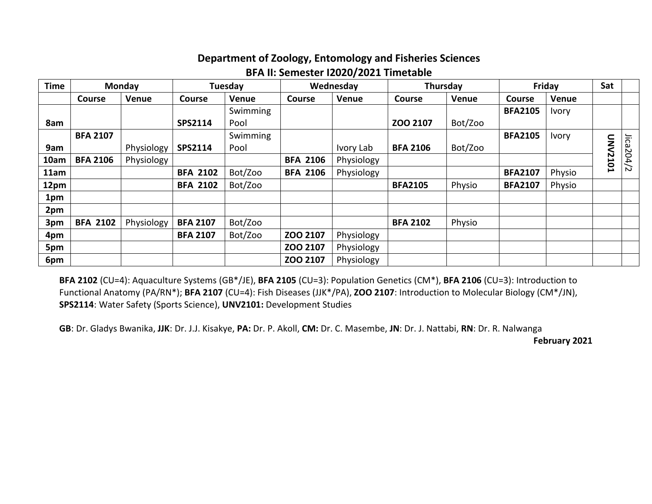## **Department of Zoology, Entomology and Fisheries Sciences BFA II: Semester I2020/2021 Timetable**

| <b>Time</b> | Monday          |            |                 | Tuesday  |                 | Wednesday    |                 | Thursday | Friday         |              | Sat         |            |
|-------------|-----------------|------------|-----------------|----------|-----------------|--------------|-----------------|----------|----------------|--------------|-------------|------------|
|             | <b>Course</b>   | Venue      | <b>Course</b>   | Venue    | <b>Course</b>   | <b>Venue</b> | <b>Course</b>   | Venue    | <b>Course</b>  | Venue        |             |            |
|             |                 |            |                 | Swimming |                 |              |                 |          | <b>BFA2105</b> | <b>Ivory</b> |             |            |
| 8am         |                 |            | <b>SPS2114</b>  | Pool     |                 |              | ZOO 2107        | Bot/Zoo  |                |              |             |            |
|             | <b>BFA 2107</b> |            |                 | Swimming |                 |              |                 |          | <b>BFA2105</b> | <b>Ivory</b> |             |            |
| 9am         |                 | Physiology | SPS2114         | Pool     |                 | Ivory Lab    | <b>BFA 2106</b> | Bot/Zoo  |                |              | <b>ONV</b>  |            |
| 10am        | <b>BFA 2106</b> | Physiology |                 |          | <b>BFA 2106</b> | Physiology   |                 |          |                |              | <b>2101</b> | Jical204/2 |
| 11am        |                 |            | <b>BFA 2102</b> | Bot/Zoo  | <b>BFA 2106</b> | Physiology   |                 |          | <b>BFA2107</b> | Physio       |             |            |
| 12pm        |                 |            | <b>BFA 2102</b> | Bot/Zoo  |                 |              | <b>BFA2105</b>  | Physio   | <b>BFA2107</b> | Physio       |             |            |
| 1pm         |                 |            |                 |          |                 |              |                 |          |                |              |             |            |
| 2pm         |                 |            |                 |          |                 |              |                 |          |                |              |             |            |
| 3pm         | <b>BFA 2102</b> | Physiology | <b>BFA 2107</b> | Bot/Zoo  |                 |              | <b>BFA 2102</b> | Physio   |                |              |             |            |
| 4pm         |                 |            | <b>BFA 2107</b> | Bot/Zoo  | ZOO 2107        | Physiology   |                 |          |                |              |             |            |
| 5pm         |                 |            |                 |          | ZOO 2107        | Physiology   |                 |          |                |              |             |            |
| 6pm         |                 |            |                 |          | ZOO 2107        | Physiology   |                 |          |                |              |             |            |

**BFA 2102** (CU=4): Aquaculture Systems (GB\*/JE), **BFA 2105** (CU=3): Population Genetics (CM\*), **BFA 2106** (CU=3): Introduction to Functional Anatomy (PA/RN\*); **BFA 2107** (CU=4): Fish Diseases (JJK\*/PA), **ZOO 2107**: Introduction to Molecular Biology (CM\*/JN), **SPS2114**: Water Safety (Sports Science), **UNV2101:** Development Studies

**GB**: Dr. Gladys Bwanika, **JJK**: Dr. J.J. Kisakye, **PA:** Dr. P. Akoll, **CM:** Dr. C. Masembe, **JN**: Dr. J. Nattabi, **RN**: Dr. R. Nalwanga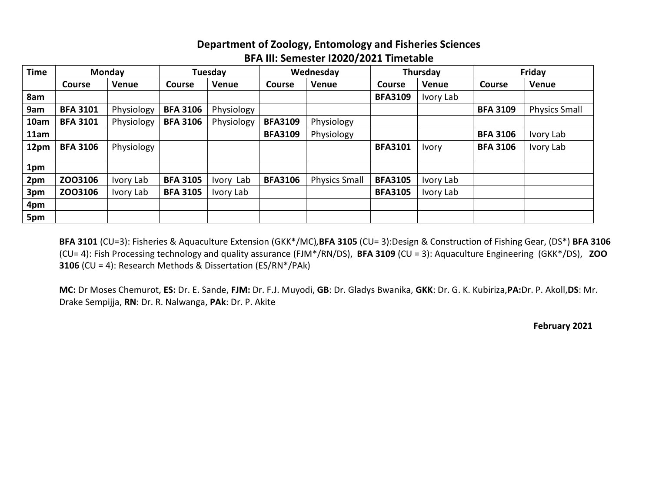## **Department of Zoology, Entomology and Fisheries Sciences BFA III: Semester I2020/2021 Timetable**

| <b>Time</b> | <b>Monday</b>   |            | Tuesday         |              | Wednesday      |                      | Thursday       |              | Friday          |                      |
|-------------|-----------------|------------|-----------------|--------------|----------------|----------------------|----------------|--------------|-----------------|----------------------|
|             | <b>Course</b>   | Venue      | <b>Course</b>   | <b>Venue</b> | <b>Course</b>  | Venue                | <b>Course</b>  | Venue        | <b>Course</b>   | Venue                |
| 8am         |                 |            |                 |              |                |                      | <b>BFA3109</b> | Ivory Lab    |                 |                      |
| 9am         | <b>BFA 3101</b> | Physiology | <b>BFA 3106</b> | Physiology   |                |                      |                |              | <b>BFA 3109</b> | <b>Physics Small</b> |
| 10am        | <b>BFA 3101</b> | Physiology | <b>BFA 3106</b> | Physiology   | <b>BFA3109</b> | Physiology           |                |              |                 |                      |
| 11am        |                 |            |                 |              | <b>BFA3109</b> | Physiology           |                |              | <b>BFA 3106</b> | Ivory Lab            |
| 12pm        | <b>BFA 3106</b> | Physiology |                 |              |                |                      | <b>BFA3101</b> | <b>Ivory</b> | <b>BFA 3106</b> | Ivory Lab            |
| 1pm         |                 |            |                 |              |                |                      |                |              |                 |                      |
| 2pm         | ZO03106         | Ivory Lab  | <b>BFA 3105</b> | Ivory Lab    | <b>BFA3106</b> | <b>Physics Small</b> | <b>BFA3105</b> | Ivory Lab    |                 |                      |
| 3pm         | ZO03106         | Ivory Lab  | <b>BFA 3105</b> | Ivory Lab    |                |                      | <b>BFA3105</b> | Ivory Lab    |                 |                      |
| 4pm         |                 |            |                 |              |                |                      |                |              |                 |                      |
| 5pm         |                 |            |                 |              |                |                      |                |              |                 |                      |

**BFA 3101** (CU=3): Fisheries & Aquaculture Extension (GKK\*/MC)*,***BFA 3105** (CU= 3):Design & Construction of Fishing Gear, (DS\*) **BFA 3106** (CU= 4): Fish Processing technology and quality assurance (FJM\*/RN/DS), **BFA 3109** (CU = 3): Aquaculture Engineering (GKK\*/DS), **ZOO 3106** (CU = 4): Research Methods & Dissertation (ES/RN\*/PAk)

**MC:** Dr Moses Chemurot, **ES:** Dr. E. Sande, **FJM:** Dr. F.J. Muyodi, **GB**: Dr. Gladys Bwanika, **GKK**: Dr. G. K. Kubiriza,**PA:**Dr. P. Akoll,**DS**: Mr. Drake Sempijja, **RN**: Dr. R. Nalwanga, **PAk**: Dr. P. Akite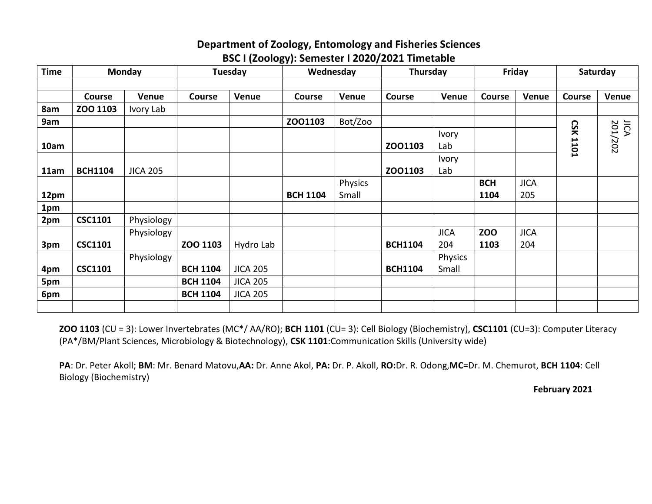#### **Department of Zoology, Entomology and Fisheries Sciences BSC I (Zoology): Semester I 2020/2021 Timetable**

| <b>Time</b> | Monday         |                 | Tuesday         |                 | Wednesday       |                  | Thursday       |                     | Friday             |                    | Saturday           |                 |
|-------------|----------------|-----------------|-----------------|-----------------|-----------------|------------------|----------------|---------------------|--------------------|--------------------|--------------------|-----------------|
|             |                |                 |                 |                 |                 |                  |                |                     |                    |                    |                    |                 |
|             | <b>Course</b>  | Venue           | Course          | Venue           | Course          | Venue            | <b>Course</b>  | Venue               | <b>Course</b>      | <b>Venue</b>       | <b>Course</b>      | Venue           |
| 8am         | ZOO 1103       | Ivory Lab       |                 |                 |                 |                  |                |                     |                    |                    |                    |                 |
| 9am         |                |                 |                 |                 | ZO01103         | Bot/Zoo          |                |                     |                    |                    |                    |                 |
| 10am        |                |                 |                 |                 |                 |                  | ZO01103        | <b>Ivory</b><br>Lab |                    |                    | CSK<br><b>1101</b> | JICA<br>201/202 |
| 11am        | <b>BCH1104</b> | <b>JICA 205</b> |                 |                 |                 |                  | ZO01103        | <b>Ivory</b><br>Lab |                    |                    |                    |                 |
| 12pm        |                |                 |                 |                 | <b>BCH 1104</b> | Physics<br>Small |                |                     | <b>BCH</b><br>1104 | <b>JICA</b><br>205 |                    |                 |
| 1pm         |                |                 |                 |                 |                 |                  |                |                     |                    |                    |                    |                 |
| 2pm         | <b>CSC1101</b> | Physiology      |                 |                 |                 |                  |                |                     |                    |                    |                    |                 |
| 3pm         | <b>CSC1101</b> | Physiology      | ZOO 1103        | Hydro Lab       |                 |                  | <b>BCH1104</b> | <b>JICA</b><br>204  | <b>ZOO</b><br>1103 | <b>JICA</b><br>204 |                    |                 |
| 4pm         | <b>CSC1101</b> | Physiology      | <b>BCH 1104</b> | <b>JICA 205</b> |                 |                  | <b>BCH1104</b> | Physics<br>Small    |                    |                    |                    |                 |
| 5pm         |                |                 | <b>BCH 1104</b> | <b>JICA 205</b> |                 |                  |                |                     |                    |                    |                    |                 |
| 6pm         |                |                 | <b>BCH 1104</b> | <b>JICA 205</b> |                 |                  |                |                     |                    |                    |                    |                 |
|             |                |                 |                 |                 |                 |                  |                |                     |                    |                    |                    |                 |

**ZOO 1103** (CU = 3): Lower Invertebrates (MC\*/ AA/RO); **BCH 1101** (CU= 3): Cell Biology (Biochemistry), **CSC1101** (CU=3): Computer Literacy (PA\*/BM/Plant Sciences, Microbiology & Biotechnology), **CSK 1101**:Communication Skills (University wide)

**PA**: Dr. Peter Akoll; **BM**: Mr. Benard Matovu,**AA:** Dr. Anne Akol, **PA:** Dr. P. Akoll, **RO:**Dr. R. Odong,**MC**=Dr. M. Chemurot, **BCH 1104**: Cell Biology (Biochemistry)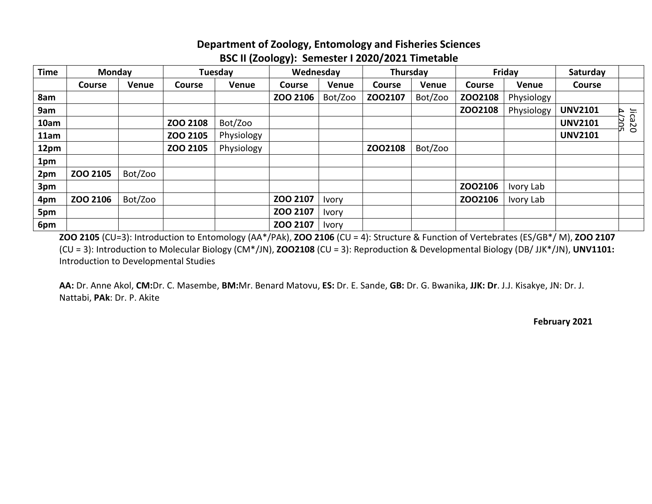### **Department of Zoology, Entomology and Fisheries Sciences BSC II (Zoology): Semester I 2020/2021 Timetable**

| <b>Time</b> | <b>Monday</b> |         | Tuesday       |              |               | Wednesday    |         | Thursday |               | Friday     | Saturday       |             |
|-------------|---------------|---------|---------------|--------------|---------------|--------------|---------|----------|---------------|------------|----------------|-------------|
|             | <b>Course</b> | Venue   | <b>Course</b> | <b>Venue</b> | <b>Course</b> | Venue        | Course  | Venue    | <b>Course</b> | Venue      | <b>Course</b>  |             |
| 8am         |               |         |               |              | ZOO 2106      | Bot/Zoo      | ZO02107 | Bot/Zoo  | ZO02108       | Physiology |                |             |
| 9am         |               |         |               |              |               |              |         |          | ZO02108       | Physiology | <b>UNV2101</b> |             |
| 10am        |               |         | ZOO 2108      | Bot/Zoo      |               |              |         |          |               |            | <b>UNV2101</b> | Jica20<br>Б |
| 11am        |               |         | ZOO 2105      | Physiology   |               |              |         |          |               |            | <b>UNV2101</b> |             |
| 12pm        |               |         | ZOO 2105      | Physiology   |               |              | ZO02108 | Bot/Zoo  |               |            |                |             |
| 1pm         |               |         |               |              |               |              |         |          |               |            |                |             |
| 2pm         | ZOO 2105      | Bot/Zoo |               |              |               |              |         |          |               |            |                |             |
| 3pm         |               |         |               |              |               |              |         |          | ZO02106       | Ivory Lab  |                |             |
| 4pm         | ZOO 2106      | Bot/Zoo |               |              | ZOO 2107      | <b>Ivory</b> |         |          | ZO02106       | Ivory Lab  |                |             |
| 5pm         |               |         |               |              | ZOO 2107      | <b>Ivory</b> |         |          |               |            |                |             |
| 6pm         |               |         |               |              | ZOO 2107      | <b>Ivory</b> |         |          |               |            |                |             |

**ZOO 2105** (CU=3): Introduction to Entomology (AA\*/PAk), **ZOO 2106** (CU = 4): Structure & Function of Vertebrates (ES/GB\*/ M), **ZOO 2107**  (CU = 3): Introduction to Molecular Biology (CM\*/JN), **ZOO2108** (CU = 3): Reproduction & Developmental Biology (DB/ JJK\*/JN), **UNV1101:** Introduction to Developmental Studies

**AA:** Dr. Anne Akol, **CM:**Dr. C. Masembe, **BM:**Mr. Benard Matovu, **ES:** Dr. E. Sande, **GB:** Dr. G. Bwanika, **JJK: Dr**. J.J. Kisakye, JN: Dr. J. Nattabi, **PAk**: Dr. P. Akite